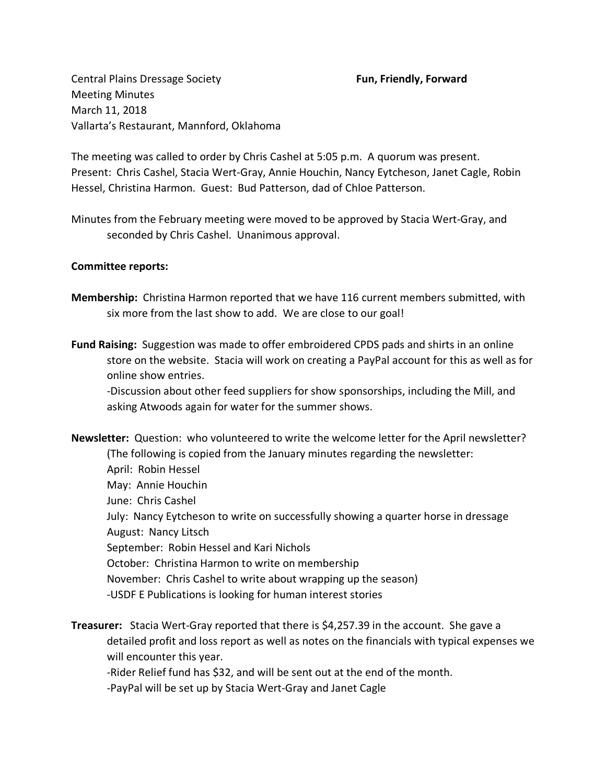Central Plains Dressage Society **Fun, Friendly, Forward** Meeting Minutes March 11, 2018 Vallarta's Restaurant, Mannford, Oklahoma

The meeting was called to order by Chris Cashel at 5:05 p.m. A quorum was present. Present: Chris Cashel, Stacia Wert-Gray, Annie Houchin, Nancy Eytcheson, Janet Cagle, Robin Hessel, Christina Harmon. Guest: Bud Patterson, dad of Chloe Patterson.

Minutes from the February meeting were moved to be approved by Stacia Wert-Gray, and seconded by Chris Cashel. Unanimous approval.

# **Committee reports:**

- **Membership:** Christina Harmon reported that we have 116 current members submitted, with six more from the last show to add. We are close to our goal!
- **Fund Raising:** Suggestion was made to offer embroidered CPDS pads and shirts in an online store on the website. Stacia will work on creating a PayPal account for this as well as for online show entries.

-Discussion about other feed suppliers for show sponsorships, including the Mill, and asking Atwoods again for water for the summer shows.

**Newsletter:** Question: who volunteered to write the welcome letter for the April newsletter? (The following is copied from the January minutes regarding the newsletter: April: Robin Hessel May: Annie Houchin June: Chris Cashel July: Nancy Eytcheson to write on successfully showing a quarter horse in dressage August: Nancy Litsch September: Robin Hessel and Kari Nichols October: Christina Harmon to write on membership November: Chris Cashel to write about wrapping up the season) -USDF E Publications is looking for human interest stories

**Treasurer:** Stacia Wert-Gray reported that there is \$4,257.39 in the account. She gave a detailed profit and loss report as well as notes on the financials with typical expenses we will encounter this year.

-Rider Relief fund has \$32, and will be sent out at the end of the month.

-PayPal will be set up by Stacia Wert-Gray and Janet Cagle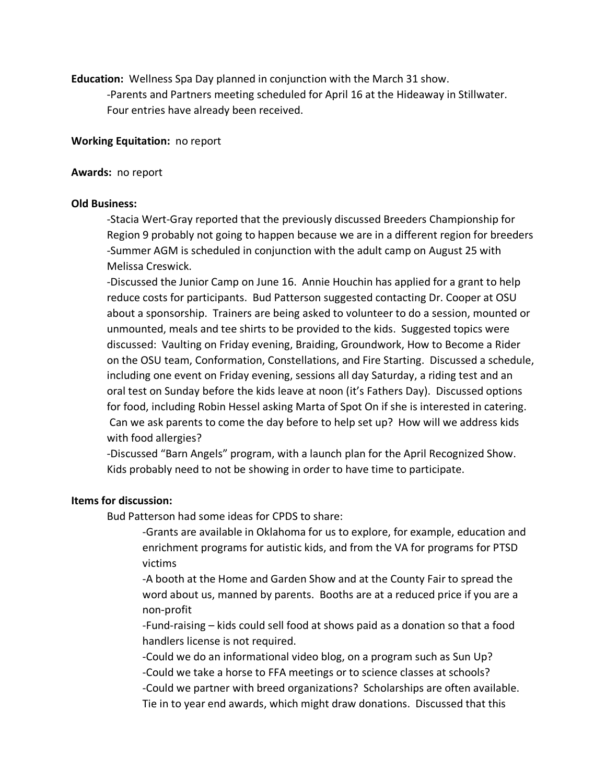**Education:** Wellness Spa Day planned in conjunction with the March 31 show.

-Parents and Partners meeting scheduled for April 16 at the Hideaway in Stillwater. Four entries have already been received.

### **Working Equitation:** no report

#### **Awards:** no report

#### **Old Business:**

-Stacia Wert-Gray reported that the previously discussed Breeders Championship for Region 9 probably not going to happen because we are in a different region for breeders -Summer AGM is scheduled in conjunction with the adult camp on August 25 with Melissa Creswick.

-Discussed the Junior Camp on June 16. Annie Houchin has applied for a grant to help reduce costs for participants. Bud Patterson suggested contacting Dr. Cooper at OSU about a sponsorship. Trainers are being asked to volunteer to do a session, mounted or unmounted, meals and tee shirts to be provided to the kids. Suggested topics were discussed: Vaulting on Friday evening, Braiding, Groundwork, How to Become a Rider on the OSU team, Conformation, Constellations, and Fire Starting. Discussed a schedule, including one event on Friday evening, sessions all day Saturday, a riding test and an oral test on Sunday before the kids leave at noon (it's Fathers Day). Discussed options for food, including Robin Hessel asking Marta of Spot On if she is interested in catering. Can we ask parents to come the day before to help set up? How will we address kids with food allergies?

-Discussed "Barn Angels" program, with a launch plan for the April Recognized Show. Kids probably need to not be showing in order to have time to participate.

## **Items for discussion:**

Bud Patterson had some ideas for CPDS to share:

-Grants are available in Oklahoma for us to explore, for example, education and enrichment programs for autistic kids, and from the VA for programs for PTSD victims

-A booth at the Home and Garden Show and at the County Fair to spread the word about us, manned by parents. Booths are at a reduced price if you are a non-profit

-Fund-raising – kids could sell food at shows paid as a donation so that a food handlers license is not required.

-Could we do an informational video blog, on a program such as Sun Up? -Could we take a horse to FFA meetings or to science classes at schools? -Could we partner with breed organizations? Scholarships are often available. Tie in to year end awards, which might draw donations. Discussed that this